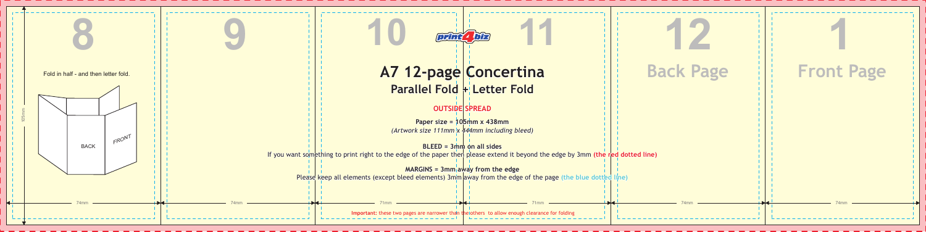